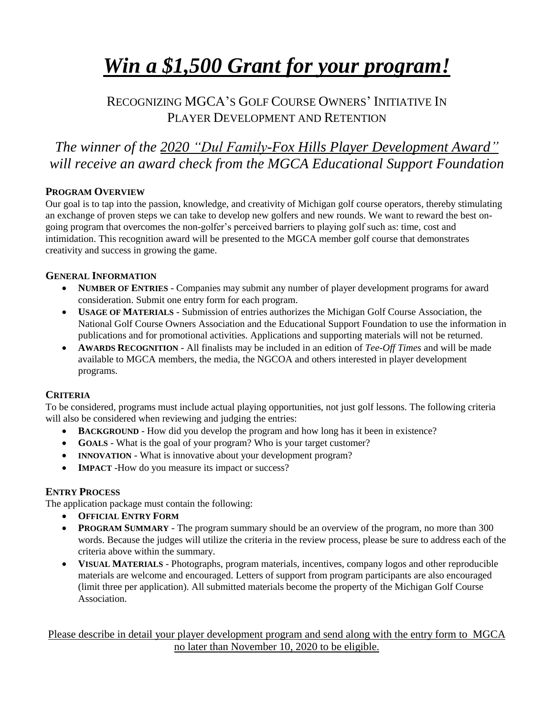# *Win a \$1,500 Grant for your program!*

### RECOGNIZING MGCA'S GOLF COURSE OWNERS' INITIATIVE IN PLAYER DEVELOPMENT AND RETENTION

### *The winner of the 2020 "Dul Family-Fox Hills Player Development Award" will receive an award check from the MGCA Educational Support Foundation*

#### **PROGRAM OVERVIEW**

Our goal is to tap into the passion, knowledge, and creativity of Michigan golf course operators, thereby stimulating an exchange of proven steps we can take to develop new golfers and new rounds. We want to reward the best ongoing program that overcomes the non-golfer's perceived barriers to playing golf such as: time, cost and intimidation. This recognition award will be presented to the MGCA member golf course that demonstrates creativity and success in growing the game.

#### **GENERAL INFORMATION**

- **NUMBER OF ENTRIES** Companies may submit any number of player development programs for award consideration. Submit one entry form for each program.
- **USAGE OF MATERIALS** Submission of entries authorizes the Michigan Golf Course Association, the National Golf Course Owners Association and the Educational Support Foundation to use the information in publications and for promotional activities. Applications and supporting materials will not be returned.
- **AWARDS RECOGNITION** All finalists may be included in an edition of *Tee-Off Times* and will be made available to MGCA members, the media, the NGCOA and others interested in player development programs.

#### **CRITERIA**

To be considered, programs must include actual playing opportunities, not just golf lessons. The following criteria will also be considered when reviewing and judging the entries:

- **BACKGROUND** How did you develop the program and how long has it been in existence?
- **GOALS** What is the goal of your program? Who is your target customer?
- **INNOVATION** What is innovative about your development program?
- **IMPACT** -How do you measure its impact or success?

#### **ENTRY PROCESS**

The application package must contain the following:

- **OFFICIAL ENTRY FORM**
- PROGRAM SUMMARY The program summary should be an overview of the program, no more than 300 words. Because the judges will utilize the criteria in the review process, please be sure to address each of the criteria above within the summary.
- VISUAL MATERIALS Photographs, program materials, incentives, company logos and other reproducible materials are welcome and encouraged. Letters of support from program participants are also encouraged (limit three per application). All submitted materials become the property of the Michigan Golf Course Association.

Please describe in detail your player development program and send along with the entry form to MGCA no later than November 10, 2020 to be eligible.